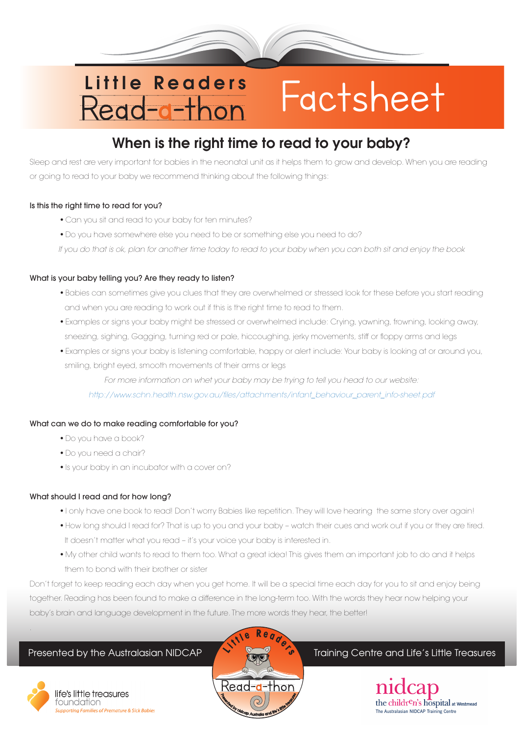# Little Readers<br>Read-a-thon Factsheet

# When is the right time to read to your baby?

Sleep and rest are very important for babies in the neonatal unit as it helps them to grow and develop. When you are reading or going to read to your baby we recommend thinking about the following things:

## Is this the right time to read for you?

- Can you sit and read to your baby for ten minutes?
- Do you have somewhere else you need to be or something else you need to do?

*If you do that is ok, plan for another time today to read to your baby when you can both sit and enjoy the book*

## What is your baby telling you? Are they ready to listen?

- Babies can sometimes give you clues that they are overwhelmed or stressed look for these before you start reading and when you are reading to work out if this is the right time to read to them.
- Examples or signs your baby might be stressed or overwhelmed include: Crying, yawning, frowning, looking away, sneezing, sighing, Gagging, turning red or pale, hiccoughing, jerky movements, stiff or floppy arms and legs
- Examples or signs your baby is listening comfortable, happy or alert include: Your baby is looking at or around you, smiling, bright eyed, smooth movements of their arms or legs

*For more information on whet your baby may be trying to tell you head to our website:*

*http://www.schn.health.nsw.gov.au/files/attachments/infant\_behaviour\_parent\_info-sheet.pdf*

## What can we do to make reading comfortable for you?

- Do you have a book?
- Do you need a chair?
- Is your baby in an incubator with a cover on?

## What should I read and for how long?

- I only have one book to read! Don't worry Babies like repetition. They will love hearing the same story over again!
- How long should I read for? That is up to you and your baby watch their cues and work out if you or they are tired. It doesn't matter what you read – it's your voice your baby is interested in.
- My other child wants to read to them too. What a great idea! This gives them an important job to do and it helps them to bond with their brother or sister

Don't forget to keep reading each day when you get home. It will be a special time each day for you to sit and enjoy being together. Reading has been found to make a difference in the long-term too. With the words they hear now helping your baby's brain and language development in the future. The more words they hear, the better!



.

life's little treasures foundation ting Families of Premature & Sick Babies